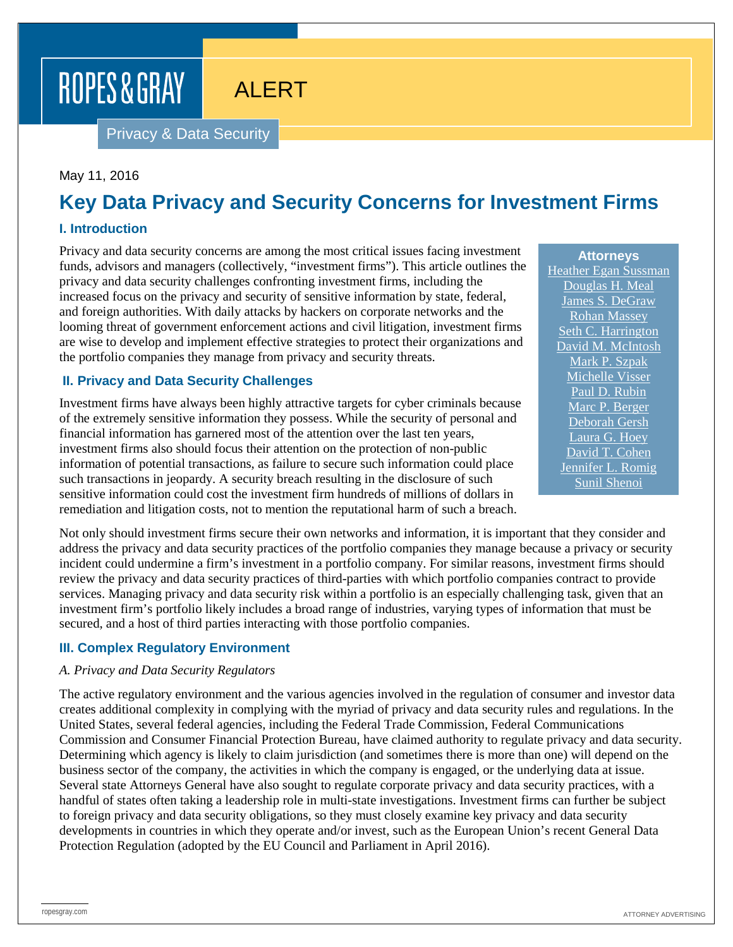# ROPES & GRAY

# ALERT

Privacy & Data Security

#### May 11, 2016

## **Key Data Privacy and Security Concerns for Investment Firms**

#### **I. Introduction**

Privacy and data security concerns are among the most critical issues facing investment funds, advisors and managers (collectively, "investment firms"). This article outlines the privacy and data security challenges confronting investment firms, including the increased focus on the privacy and security of sensitive information by state, federal, and foreign authorities. With daily attacks by hackers on corporate networks and the looming threat of government enforcement actions and civil litigation, investment firms are wise to develop and implement effective strategies to protect their organizations and the portfolio companies they manage from privacy and security threats.

#### **II. Privacy and Data Security Challenges**

Investment firms have always been highly attractive targets for cyber criminals because of the extremely sensitive information they possess. While the security of personal and financial information has garnered most of the attention over the last ten years, investment firms also should focus their attention on the protection of non-public information of potential transactions, as failure to secure such information could place such transactions in jeopardy. A security breach resulting in the disclosure of such sensitive information could cost the investment firm hundreds of millions of dollars in remediation and litigation costs, not to mention the reputational harm of such a breach.

Not only should investment firms secure their own networks and information, it is important that they consider and address the privacy and data security practices of the portfolio companies they manage because a privacy or security incident could undermine a firm's investment in a portfolio company. For similar reasons, investment firms should review the privacy and data security practices of third-parties with which portfolio companies contract to provide services. Managing privacy and data security risk within a portfolio is an especially challenging task, given that an investment firm's portfolio likely includes a broad range of industries, varying types of information that must be secured, and a host of third parties interacting with those portfolio companies.

#### **III. Complex Regulatory Environment**

#### *A. Privacy and Data Security Regulators*

The active regulatory environment and the various agencies involved in the regulation of consumer and investor data creates additional complexity in complying with the myriad of privacy and data security rules and regulations. In the United States, several federal agencies, including the Federal Trade Commission, Federal Communications Commission and Consumer Financial Protection Bureau, have claimed authority to regulate privacy and data security. Determining which agency is likely to claim jurisdiction (and sometimes there is more than one) will depend on the business sector of the company, the activities in which the company is engaged, or the underlying data at issue. Several state Attorneys General have also sought to regulate corporate privacy and data security practices, with a handful of states often taking a leadership role in multi-state investigations. Investment firms can further be subject to foreign privacy and data security obligations, so they must closely examine key privacy and data security developments in countries in which they operate and/or invest, such as the European Union's recent General Data Protection Regulation (adopted by the EU Council and Parliament in April 2016).

**Attorneys** [Heather Egan Sussman](https://www.ropesgray.com/biographies/s/heather-egan-sussman.aspx) [Douglas H. Meal](https://www.ropesgray.com/biographies/m/douglas-h-meal.aspx) [James S. DeGraw](https://www.ropesgray.com/biographies/d/james-s-degraw.aspx) [Rohan Massey](https://www.ropesgray.com/biographies/m/rohan-massey.aspx) [Seth C. Harrington](https://www.ropesgray.com/biographies/h/seth-c-harrington.aspx) [David M. McIntosh](https://www.ropesgray.com/biographies/m/McIntosh-David.aspx) [Mark P. Szpak](https://www.ropesgray.com/biographies/s/mark-p-szpak.aspx) [Michelle Visser](https://www.ropesgray.com/biographies/v/michelle-visser.aspx) [Paul D. Rubin](https://www.ropesgray.com/biographies/r/paul-d-rubin.aspx) [Marc P. Berger](https://www.ropesgray.com/biographies/b/Marc-Berger.aspx) [Deborah Gersh](https://www.ropesgray.com/biographies/g/deborah-gersh.aspx) [Laura G. Hoey](https://www.ropesgray.com/biographies/h/laura-g-hoey.aspx) [David T. Cohen](https://www.ropesgray.com/biographies/c/david-t-cohen.aspx) [Jennifer L. Romig](https://www.ropesgray.com/biographies/r/jennifer-l-romig.aspx) [Sunil Shenoi](https://www.ropesgray.com/biographies/s/sunil-shenoi.aspx)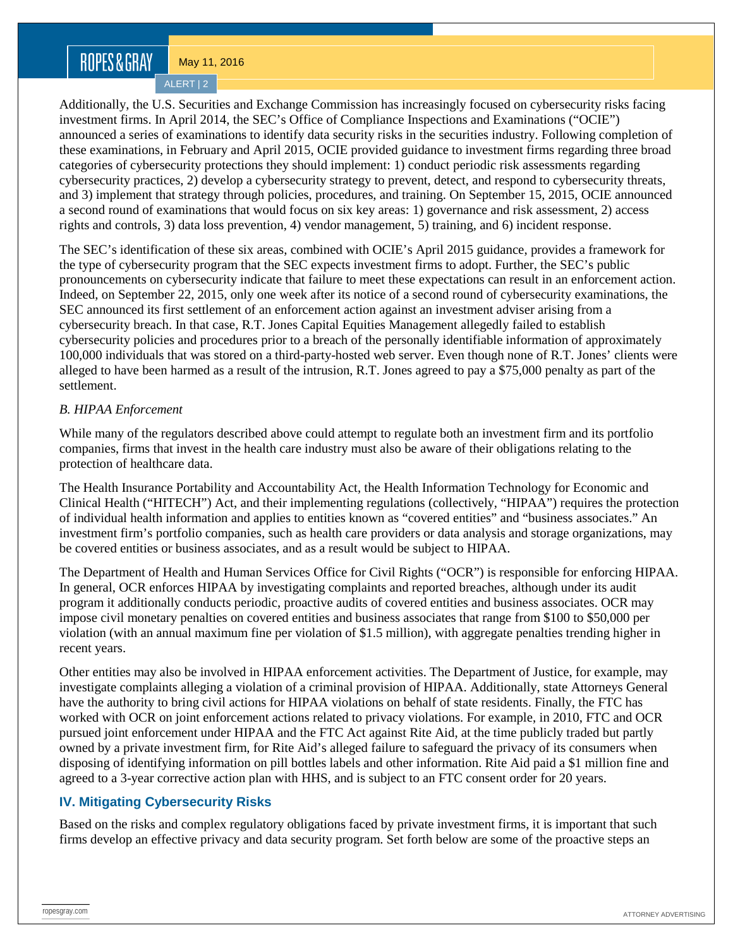## ROPES&GRAY

May 11, 2016

ALERT | 2

Additionally, the U.S. Securities and Exchange Commission has increasingly focused on cybersecurity risks facing investment firms. In April 2014, the SEC's Office of Compliance Inspections and Examinations ("OCIE") announced a series of examinations to identify data security risks in the securities industry. Following completion of these examinations, in February and April 2015, OCIE provided guidance to investment firms regarding three broad categories of cybersecurity protections they should implement: 1) conduct periodic risk assessments regarding cybersecurity practices, 2) develop a cybersecurity strategy to prevent, detect, and respond to cybersecurity threats, and 3) implement that strategy through policies, procedures, and training. On September 15, 2015, OCIE announced a second round of examinations that would focus on six key areas: 1) governance and risk assessment, 2) access rights and controls, 3) data loss prevention, 4) vendor management, 5) training, and 6) incident response.

The SEC's identification of these six areas, combined with OCIE's April 2015 guidance, provides a framework for the type of cybersecurity program that the SEC expects investment firms to adopt. Further, the SEC's public pronouncements on cybersecurity indicate that failure to meet these expectations can result in an enforcement action. Indeed, on September 22, 2015, only one week after its notice of a second round of cybersecurity examinations, the SEC announced its first settlement of an enforcement action against an investment adviser arising from a cybersecurity breach. In that case, R.T. Jones Capital Equities Management allegedly failed to establish cybersecurity policies and procedures prior to a breach of the personally identifiable information of approximately 100,000 individuals that was stored on a third-party-hosted web server. Even though none of R.T. Jones' clients were alleged to have been harmed as a result of the intrusion, R.T. Jones agreed to pay a \$75,000 penalty as part of the settlement.

#### *B. HIPAA Enforcement*

While many of the regulators described above could attempt to regulate both an investment firm and its portfolio companies, firms that invest in the health care industry must also be aware of their obligations relating to the protection of healthcare data.

The Health Insurance Portability and Accountability Act, the Health Information Technology for Economic and Clinical Health ("HITECH") Act, and their implementing regulations (collectively, "HIPAA") requires the protection of individual health information and applies to entities known as "covered entities" and "business associates." An investment firm's portfolio companies, such as health care providers or data analysis and storage organizations, may be covered entities or business associates, and as a result would be subject to HIPAA.

The Department of Health and Human Services Office for Civil Rights ("OCR") is responsible for enforcing HIPAA. In general, OCR enforces HIPAA by investigating complaints and reported breaches, although under its audit program it additionally conducts periodic, proactive audits of covered entities and business associates. OCR may impose civil monetary penalties on covered entities and business associates that range from \$100 to \$50,000 per violation (with an annual maximum fine per violation of \$1.5 million), with aggregate penalties trending higher in recent years.

Other entities may also be involved in HIPAA enforcement activities. The Department of Justice, for example, may investigate complaints alleging a violation of a criminal provision of HIPAA. Additionally, state Attorneys General have the authority to bring civil actions for HIPAA violations on behalf of state residents. Finally, the FTC has worked with OCR on joint enforcement actions related to privacy violations. For example, in 2010, FTC and OCR pursued joint enforcement under HIPAA and the FTC Act against Rite Aid, at the time publicly traded but partly owned by a private investment firm, for Rite Aid's alleged failure to safeguard the privacy of its consumers when disposing of identifying information on pill bottles labels and other information. Rite Aid paid a \$1 million fine and agreed to a 3-year corrective action plan with HHS, and is subject to an FTC consent order for 20 years.

#### **IV. Mitigating Cybersecurity Risks**

Based on the risks and complex regulatory obligations faced by private investment firms, it is important that such firms develop an effective privacy and data security program. Set forth below are some of the proactive steps an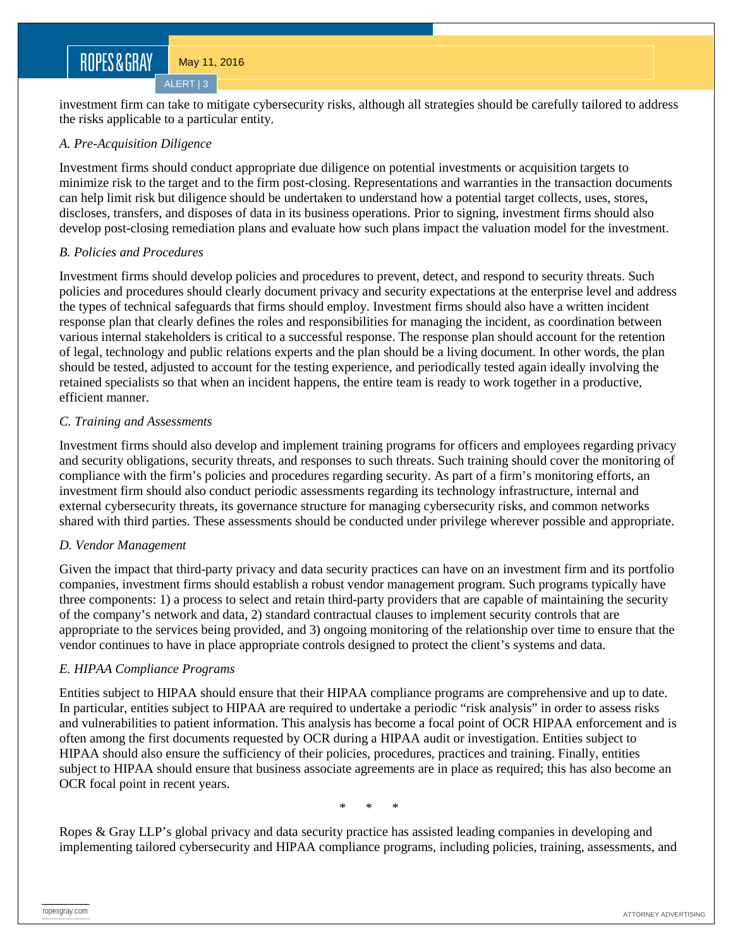### ROPES&GRAY

May 11, 2016

ALERT | 3

investment firm can take to mitigate cybersecurity risks, although all strategies should be carefully tailored to address the risks applicable to a particular entity.

#### *A. Pre-Acquisition Diligence*

Investment firms should conduct appropriate due diligence on potential investments or acquisition targets to minimize risk to the target and to the firm post-closing. Representations and warranties in the transaction documents can help limit risk but diligence should be undertaken to understand how a potential target collects, uses, stores, discloses, transfers, and disposes of data in its business operations. Prior to signing, investment firms should also develop post-closing remediation plans and evaluate how such plans impact the valuation model for the investment.

#### *B. Policies and Procedures*

Investment firms should develop policies and procedures to prevent, detect, and respond to security threats. Such policies and procedures should clearly document privacy and security expectations at the enterprise level and address the types of technical safeguards that firms should employ. Investment firms should also have a written incident response plan that clearly defines the roles and responsibilities for managing the incident, as coordination between various internal stakeholders is critical to a successful response. The response plan should account for the retention of legal, technology and public relations experts and the plan should be a living document. In other words, the plan should be tested, adjusted to account for the testing experience, and periodically tested again ideally involving the retained specialists so that when an incident happens, the entire team is ready to work together in a productive, efficient manner.

#### *C. Training and Assessments*

Investment firms should also develop and implement training programs for officers and employees regarding privacy and security obligations, security threats, and responses to such threats. Such training should cover the monitoring of compliance with the firm's policies and procedures regarding security. As part of a firm's monitoring efforts, an investment firm should also conduct periodic assessments regarding its technology infrastructure, internal and external cybersecurity threats, its governance structure for managing cybersecurity risks, and common networks shared with third parties. These assessments should be conducted under privilege wherever possible and appropriate.

#### *D. Vendor Management*

Given the impact that third-party privacy and data security practices can have on an investment firm and its portfolio companies, investment firms should establish a robust vendor management program. Such programs typically have three components: 1) a process to select and retain third-party providers that are capable of maintaining the security of the company's network and data, 2) standard contractual clauses to implement security controls that are appropriate to the services being provided, and 3) ongoing monitoring of the relationship over time to ensure that the vendor continues to have in place appropriate controls designed to protect the client's systems and data.

#### *E. HIPAA Compliance Programs*

Entities subject to HIPAA should ensure that their HIPAA compliance programs are comprehensive and up to date. In particular, entities subject to HIPAA are required to undertake a periodic "risk analysis" in order to assess risks and vulnerabilities to patient information. This analysis has become a focal point of OCR HIPAA enforcement and is often among the first documents requested by OCR during a HIPAA audit or investigation. Entities subject to HIPAA should also ensure the sufficiency of their policies, procedures, practices and training. Finally, entities subject to HIPAA should ensure that business associate agreements are in place as required; this has also become an OCR focal point in recent years.

\* \* \*

Ropes & Gray LLP's global privacy and data security practice has assisted leading companies in developing and implementing tailored cybersecurity and HIPAA compliance programs, including policies, training, assessments, and